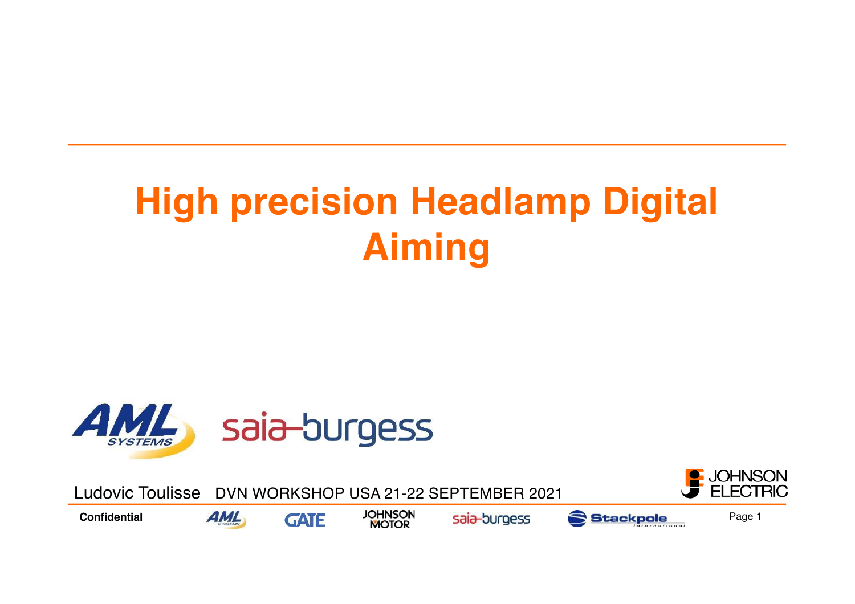# **High precision Headlamp Digital Aiming**



**JOHNSON** Ludovic Toulisse DVN WORKSHOP USA 21-22 SEPTEMBER 2021**Confidential AML GATE JOHNSON Saia-burgess Stackpole** Page 1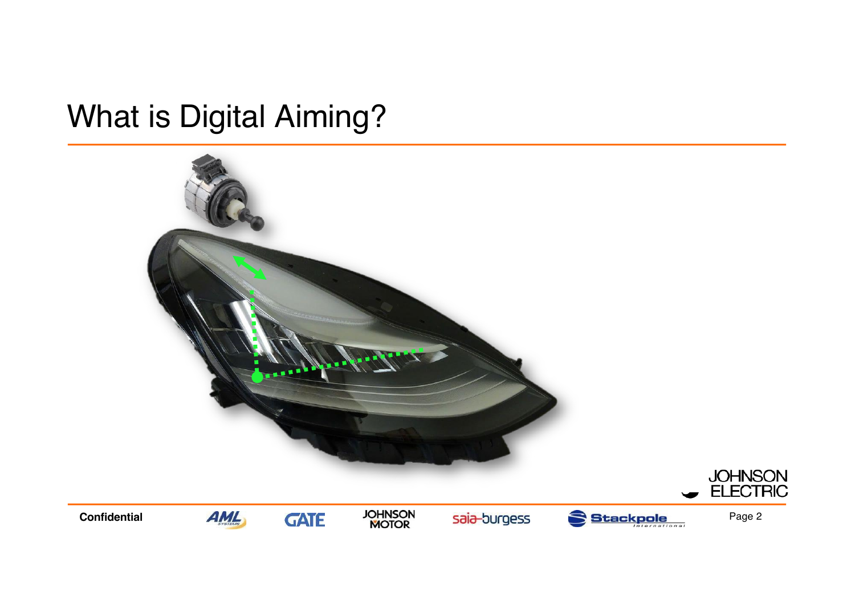# What is Digital Aiming?

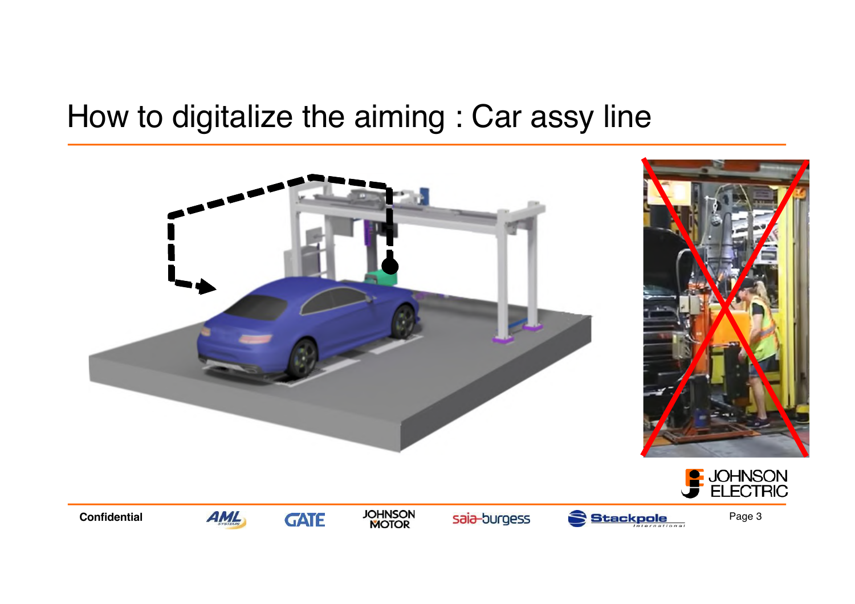#### How to digitalize the aiming : Car assy line

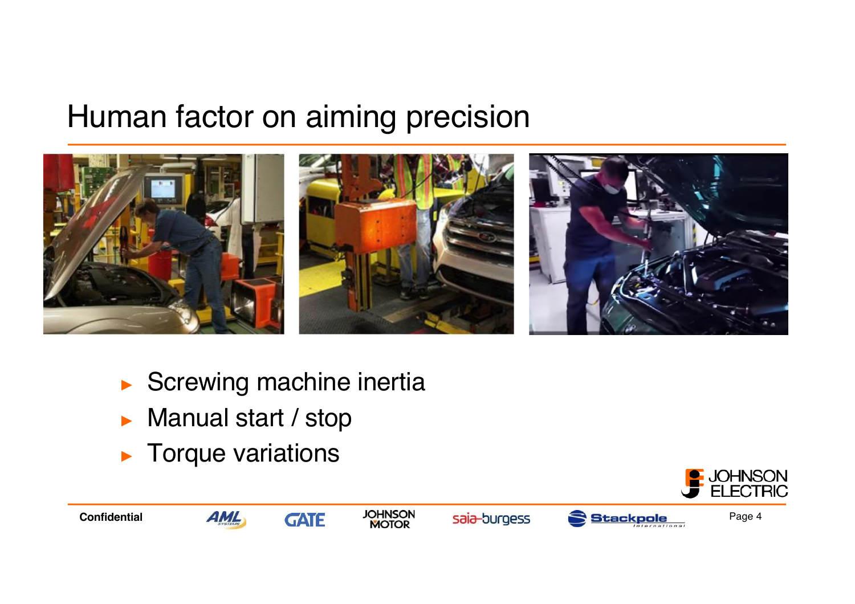### Human factor on aiming precision



- ► Screwing machine inertia
- ► Manual start / stop
- ► Torque variations

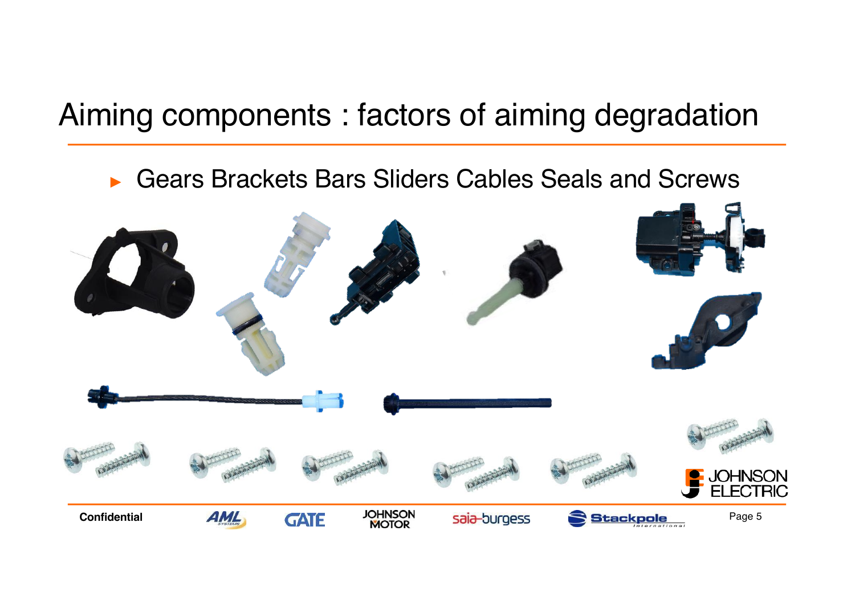# Aiming components : factors of aiming degradation

► Gears Brackets Bars Sliders Cables Seals and Screws

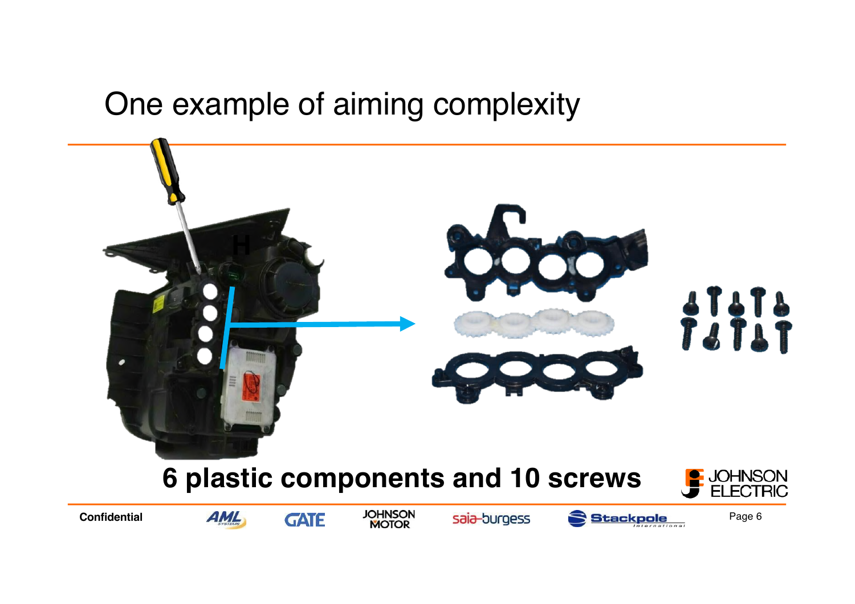### One example of aiming complexity

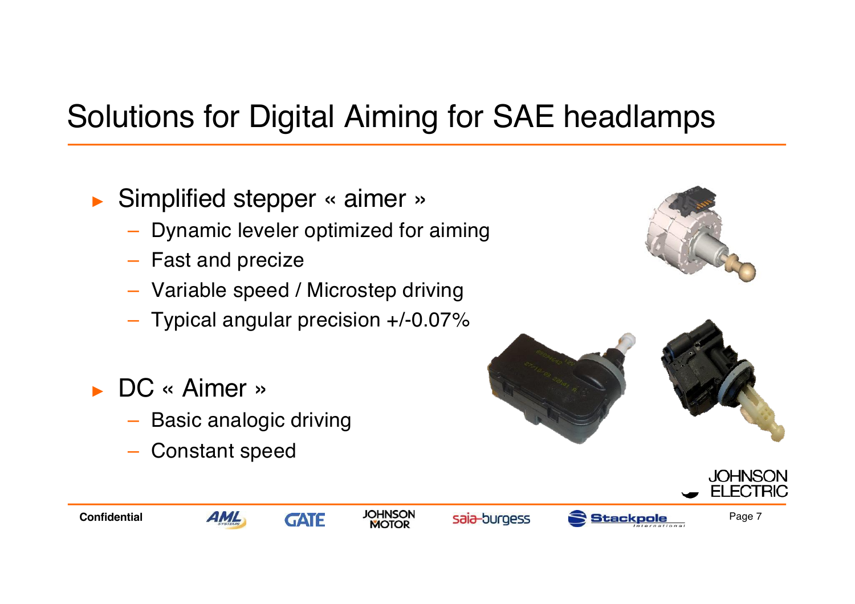# Solutions for Digital Aiming for SAE headlamps

Simplified stepper « aimer »

- Dynamic leveler optimized for aiming
- Fast and precize
- Variable speed / Microstep driving
- Typical angular precision +/-0.07%
- ► DC « Aimer »
	- Basic analogic driving
	- Constant speed











. IOHNSON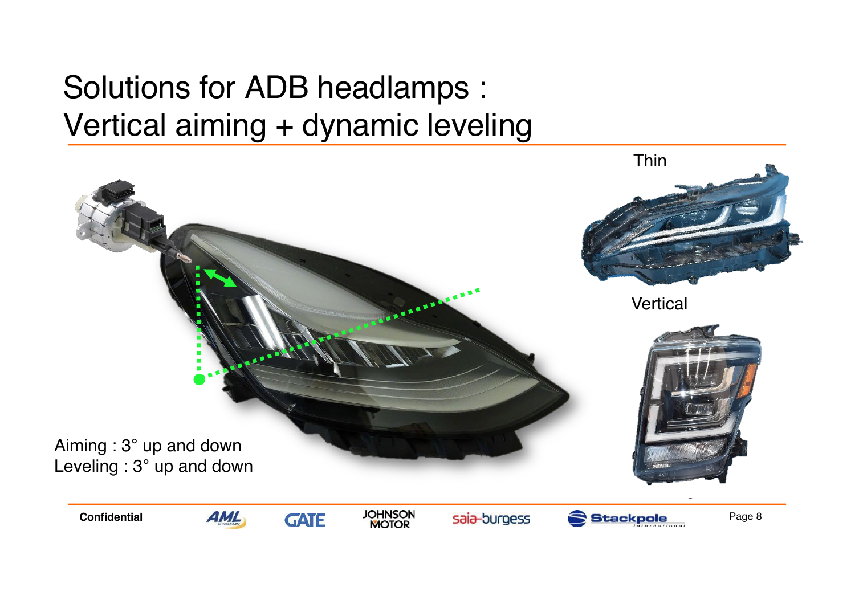# Solutions for ADB headlamps : Vertical aiming + dynamic leveling

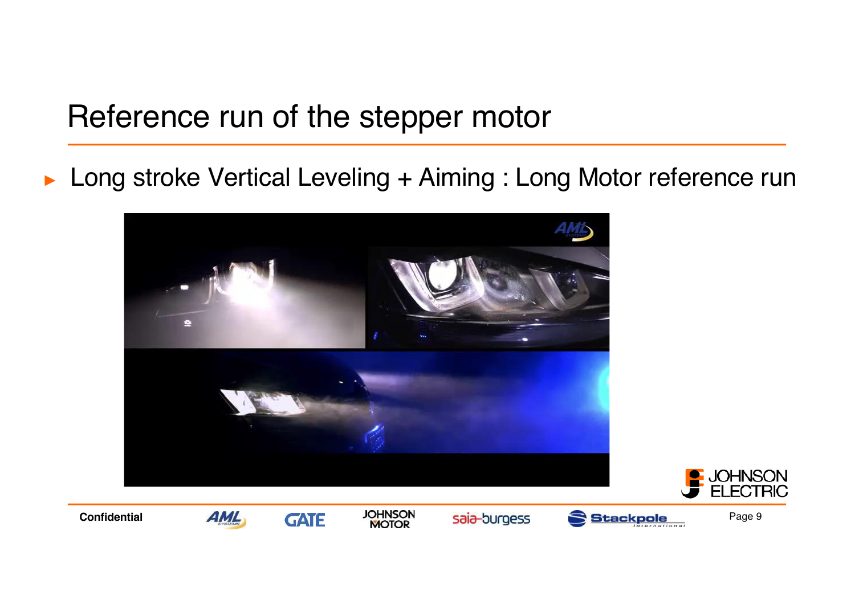### Reference run of the stepper motor

► Long stroke Vertical Leveling + Aiming : Long Motor reference run

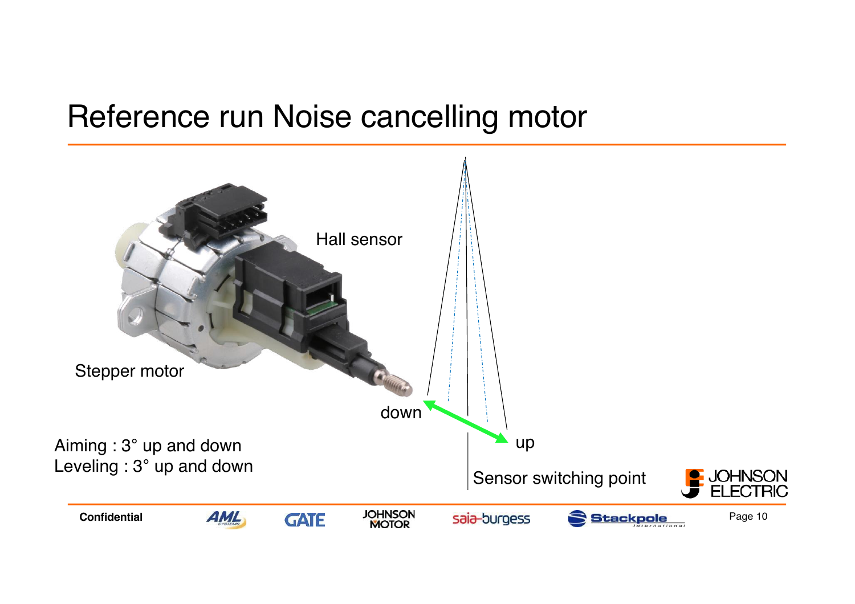### Reference run Noise cancelling motor

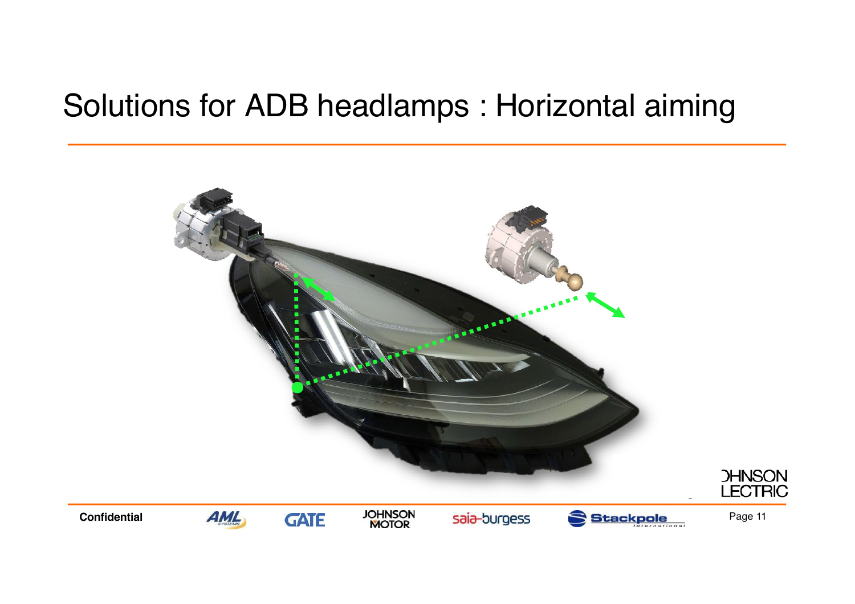# Solutions for ADB headlamps : Horizontal aiming

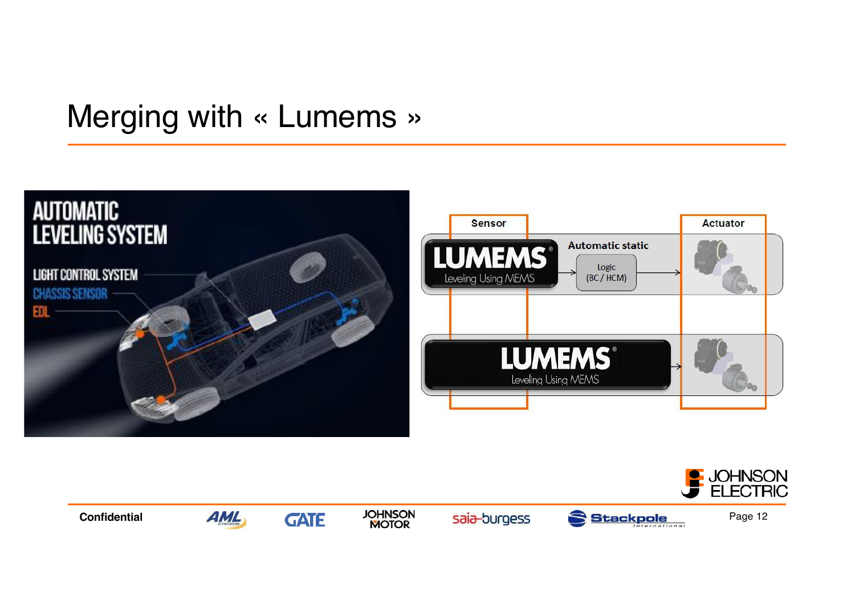### Merging with « Lumems »







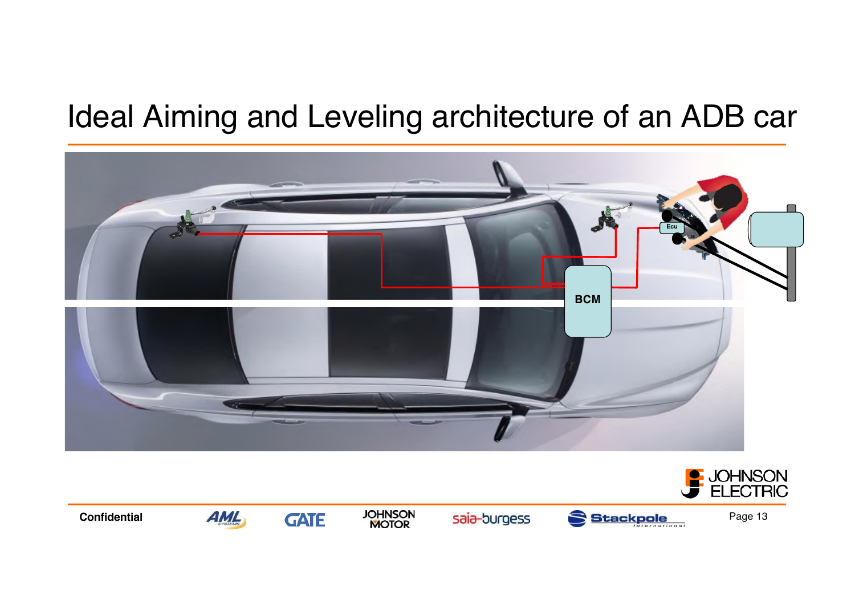# Ideal Aiming and Leveling architecture of an ADB car



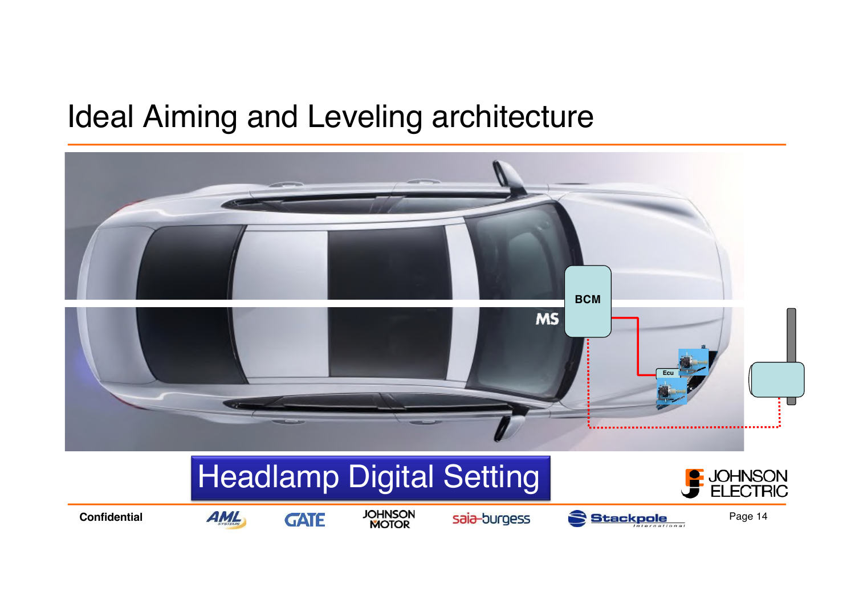# Ideal Aiming and Leveling architecture